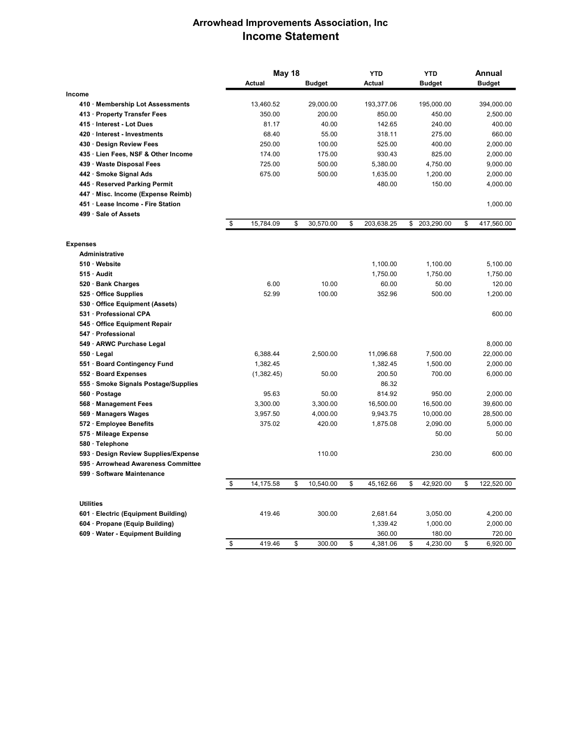## Arrowhead Improvements Association, Inc Income Statement

|                                     | May 18 |            |    |               | <b>YTD</b>       | <b>YTD</b> |               | Annual |               |
|-------------------------------------|--------|------------|----|---------------|------------------|------------|---------------|--------|---------------|
|                                     |        | Actual     |    | <b>Budget</b> | Actual           |            | <b>Budget</b> |        | <b>Budget</b> |
| Income                              |        |            |    |               |                  |            |               |        |               |
| 410 · Membership Lot Assessments    |        | 13,460.52  |    | 29,000.00     | 193,377.06       |            | 195,000.00    |        | 394,000.00    |
| 413 Property Transfer Fees          |        | 350.00     |    | 200.00        | 850.00           |            | 450.00        |        | 2,500.00      |
| 415 · Interest - Lot Dues           |        | 81.17      |    | 40.00         | 142.65           |            | 240.00        |        | 400.00        |
| 420 Interest - Investments          |        | 68.40      |    | 55.00         | 318.11           |            | 275.00        |        | 660.00        |
| 430 · Design Review Fees            |        | 250.00     |    | 100.00        | 525.00           |            | 400.00        |        | 2,000.00      |
| 435 Lien Fees, NSF & Other Income   |        | 174.00     |    | 175.00        | 930.43           |            | 825.00        |        | 2,000.00      |
| 439 Waste Disposal Fees             |        | 725.00     |    | 500.00        | 5,380.00         |            | 4,750.00      |        | 9,000.00      |
| 442 · Smoke Signal Ads              |        | 675.00     |    | 500.00        | 1,635.00         |            | 1,200.00      |        | 2,000.00      |
| 445 · Reserved Parking Permit       |        |            |    |               | 480.00           |            | 150.00        |        | 4,000.00      |
| 447 Misc. Income (Expense Reimb)    |        |            |    |               |                  |            |               |        |               |
| 451 Lease Income - Fire Station     |        |            |    |               |                  |            |               |        | 1,000.00      |
| 499 · Sale of Assets                |        |            |    |               |                  |            |               |        |               |
|                                     | \$     | 15,784.09  | \$ | 30,570.00     | \$<br>203,638.25 | \$         | 203,290.00    | \$     | 417,560.00    |
| <b>Expenses</b>                     |        |            |    |               |                  |            |               |        |               |
| <b>Administrative</b>               |        |            |    |               |                  |            |               |        |               |
| 510 Website                         |        |            |    |               | 1,100.00         |            | 1,100.00      |        | 5,100.00      |
| 515 Audit                           |        |            |    |               | 1,750.00         |            | 1,750.00      |        | 1,750.00      |
| 520 · Bank Charges                  |        | 6.00       |    | 10.00         | 60.00            |            | 50.00         |        | 120.00        |
| 525 Office Supplies                 |        | 52.99      |    | 100.00        | 352.96           |            | 500.00        |        | 1,200.00      |
| 530 Office Equipment (Assets)       |        |            |    |               |                  |            |               |        |               |
| 531 · Professional CPA              |        |            |    |               |                  |            |               |        | 600.00        |
| 545 Office Equipment Repair         |        |            |    |               |                  |            |               |        |               |
| 547 · Professional                  |        |            |    |               |                  |            |               |        |               |
| 549 · ARWC Purchase Legal           |        |            |    |               |                  |            |               |        | 8,000.00      |
| 550 · Legal                         |        | 6,388.44   |    | 2,500.00      | 11,096.68        |            | 7,500.00      |        | 22,000.00     |
| 551 Board Contingency Fund          |        | 1,382.45   |    |               | 1,382.45         |            | 1,500.00      |        | 2,000.00      |
| 552 · Board Expenses                |        | (1,382.45) |    | 50.00         | 200.50           |            | 700.00        |        | 6,000.00      |
| 555 Smoke Signals Postage/Supplies  |        |            |    |               | 86.32            |            |               |        |               |
| 560 · Postage                       |        | 95.63      |    | 50.00         | 814.92           |            | 950.00        |        | 2,000.00      |
| 568 Management Fees                 |        | 3,300.00   |    | 3,300.00      | 16,500.00        |            | 16,500.00     |        | 39,600.00     |
| 569 · Managers Wages                |        | 3,957.50   |    | 4,000.00      | 9,943.75         |            | 10,000.00     |        | 28,500.00     |
| 572 · Employee Benefits             |        | 375.02     |    | 420.00        | 1,875.08         |            | 2,090.00      |        | 5,000.00      |
| 575 · Mileage Expense               |        |            |    |               |                  |            | 50.00         |        | 50.00         |
| 580 · Telephone                     |        |            |    |               |                  |            |               |        |               |
| 593 Design Review Supplies/Expense  |        |            |    | 110.00        |                  |            | 230.00        |        | 600.00        |
| 595 · Arrowhead Awareness Committee |        |            |    |               |                  |            |               |        |               |
| 599 · Software Maintenance          |        |            |    |               |                  |            |               |        |               |
|                                     | \$     | 14,175.58  | \$ | 10,540.00     | \$<br>45,162.66  | \$         | 42,920.00     | \$     | 122,520.00    |
| <b>Utilities</b>                    |        |            |    |               |                  |            |               |        |               |
| 601 · Electric (Equipment Building) |        | 419.46     |    | 300.00        | 2,681.64         |            | 3,050.00      |        | 4,200.00      |
| 604 Propane (Equip Building)        |        |            |    |               | 1,339.42         |            | 1,000.00      |        | 2,000.00      |
| 609 · Water - Equipment Building    |        |            |    |               | 360.00           |            | 180.00        |        | 720.00        |
|                                     | \$     | 419.46     | \$ | 300.00        | \$<br>4.381.06   | \$         | 4,230.00      | \$     | 6,920.00      |
|                                     |        |            |    |               |                  |            |               |        |               |